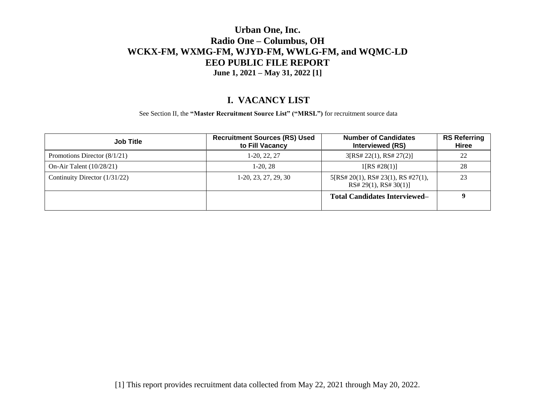#### **I. VACANCY LIST**

See Section II, the **"Master Recruitment Source List" ("MRSL")** for recruitment source data

| <b>Job Title</b>               | <b>Recruitment Sources (RS) Used</b><br>to Fill Vacancy | <b>Number of Candidates</b><br>Interviewed (RS)             | <b>RS Referring</b><br><b>Hiree</b> |
|--------------------------------|---------------------------------------------------------|-------------------------------------------------------------|-------------------------------------|
| Promotions Director $(8/1/21)$ | 1-20, 22, 27                                            | 3[RS# 22(1), RS# 27(2)]                                     | 22                                  |
| On-Air Talent $(10/28/21)$     | $1-20.28$                                               | 1[RS #28(1)]                                                | 28                                  |
| Continuity Director (1/31/22)  | $1-20, 23, 27, 29, 30$                                  | 5[RS# 20(1), RS# 23(1), RS #27(1),<br>RS# 29(1), RS# 30(1)] | 23                                  |
|                                |                                                         | <b>Total Candidates Interviewed–</b>                        | Q                                   |

[1] This report provides recruitment data collected from May 22, 2021 through May 20, 2022.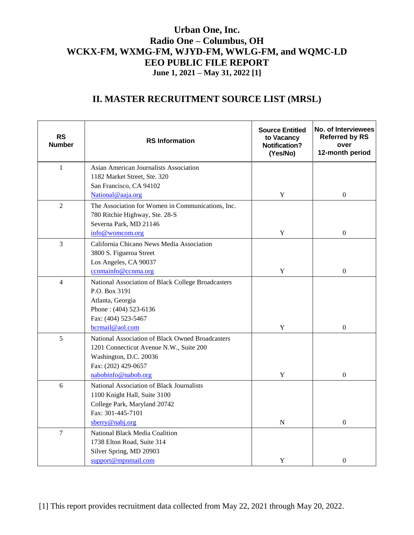# **II. MASTER RECRUITMENT SOURCE LIST (MRSL)**

| <b>RS</b><br><b>Number</b> | <b>RS</b> Information                                 | <b>Source Entitled</b><br>to Vacancy<br><b>Notification?</b><br>(Yes/No) | No. of Interviewees<br><b>Referred by RS</b><br>over<br>12-month period |
|----------------------------|-------------------------------------------------------|--------------------------------------------------------------------------|-------------------------------------------------------------------------|
| $\mathbf{1}$               | Asian American Journalists Association                |                                                                          |                                                                         |
|                            | 1182 Market Street, Ste. 320                          |                                                                          |                                                                         |
|                            | San Francisco, CA 94102                               |                                                                          |                                                                         |
|                            | National@aaja.org                                     | $\mathbf Y$                                                              | $\boldsymbol{0}$                                                        |
| $\overline{2}$             | The Association for Women in Communications, Inc.     |                                                                          |                                                                         |
|                            | 780 Ritchie Highway, Ste. 28-S                        |                                                                          |                                                                         |
|                            | Severna Park, MD 21146                                |                                                                          |                                                                         |
|                            | info@womcom.org                                       | $\mathbf Y$                                                              | $\boldsymbol{0}$                                                        |
| $\overline{3}$             | California Chicano News Media Association             |                                                                          |                                                                         |
|                            | 3800 S. Figueroa Street                               |                                                                          |                                                                         |
|                            | Los Angeles, CA 90037                                 |                                                                          |                                                                         |
|                            | ccnmainfo@ccnma.org                                   | $\mathbf Y$                                                              | $\boldsymbol{0}$                                                        |
| $\overline{4}$             | National Association of Black College Broadcasters    |                                                                          |                                                                         |
|                            | P.O. Box 3191                                         |                                                                          |                                                                         |
|                            | Atlanta, Georgia                                      |                                                                          |                                                                         |
|                            | Phone: (404) 523-6136                                 |                                                                          |                                                                         |
|                            | Fax: (404) 523-5467                                   |                                                                          |                                                                         |
|                            | bcrmail@aol.com                                       | $\mathbf Y$                                                              | $\overline{0}$                                                          |
| 5                          | National Association of Black Owned Broadcasters      |                                                                          |                                                                         |
|                            | 1201 Connecticut Avenue N.W., Suite 200               |                                                                          |                                                                         |
|                            | Washington, D.C. 20036                                |                                                                          |                                                                         |
|                            | Fax: (202) 429-0657                                   |                                                                          | $\mathbf{0}$                                                            |
|                            | nabobinfo@nabob.org                                   | $\mathbf Y$                                                              |                                                                         |
| 6                          | National Association of Black Journalists             |                                                                          |                                                                         |
|                            | 1100 Knight Hall, Suite 3100                          |                                                                          |                                                                         |
|                            | College Park, Maryland 20742<br>Fax: 301-445-7101     |                                                                          |                                                                         |
|                            | sberry@nabj.org                                       | ${\bf N}$                                                                | $\theta$                                                                |
| $\overline{7}$             |                                                       |                                                                          |                                                                         |
|                            | National Black Media Coalition                        |                                                                          |                                                                         |
|                            | 1738 Elton Road, Suite 314<br>Silver Spring, MD 20903 |                                                                          |                                                                         |
|                            | support@mpnmail.com                                   | Y                                                                        | $\boldsymbol{0}$                                                        |
|                            |                                                       |                                                                          |                                                                         |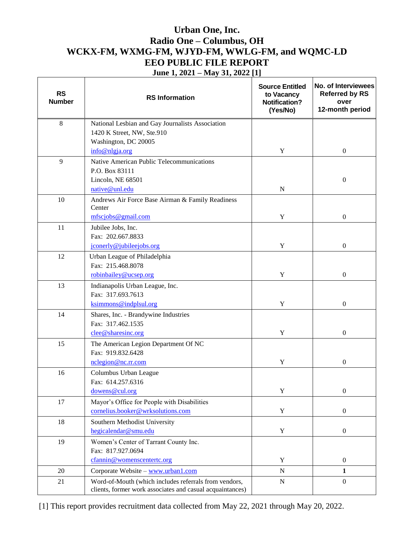| <b>RS</b><br><b>Number</b> | <b>RS</b> Information                                                                                              | <b>Source Entitled</b><br>to Vacancy<br><b>Notification?</b><br>(Yes/No) | No. of Interviewees<br><b>Referred by RS</b><br>over<br>12-month period |
|----------------------------|--------------------------------------------------------------------------------------------------------------------|--------------------------------------------------------------------------|-------------------------------------------------------------------------|
| $\,8\,$                    | National Lesbian and Gay Journalists Association<br>1420 K Street, NW, Ste.910<br>Washington, DC 20005             |                                                                          |                                                                         |
|                            | info@nlgja.org                                                                                                     | Y                                                                        | $\boldsymbol{0}$                                                        |
| 9                          | Native American Public Telecommunications<br>P.O. Box 83111<br>Lincoln, NE 68501<br>native@unl.edu                 | $\mathbf N$                                                              | $\boldsymbol{0}$                                                        |
| 10                         | Andrews Air Force Base Airman & Family Readiness<br>Center<br>mfscjobs@gmail.com                                   | $\mathbf Y$                                                              | $\boldsymbol{0}$                                                        |
| 11                         | Jubilee Jobs, Inc.<br>Fax: 202.667.8833<br>jconerly@jubileejobs.org                                                | Y                                                                        | $\boldsymbol{0}$                                                        |
| 12                         | Urban League of Philadelphia<br>Fax: 215.468.8078<br>robinbailey@ucsep.org                                         | $\mathbf Y$                                                              | $\boldsymbol{0}$                                                        |
| 13                         | Indianapolis Urban League, Inc.<br>Fax: 317.693.7613<br>ksimmons@indplsul.org                                      | Y                                                                        | $\boldsymbol{0}$                                                        |
| 14                         | Shares, Inc. - Brandywine Industries<br>Fax: 317.462.1535<br>clee@sharesinc.org                                    | Y                                                                        | $\boldsymbol{0}$                                                        |
| 15                         | The American Legion Department Of NC<br>Fax: 919.832.6428<br>nclegion@nc.rr.com                                    | Y                                                                        | $\boldsymbol{0}$                                                        |
| 16                         | Columbus Urban League<br>Fax: 614.257.6316<br>dowens@cul.org                                                       | $\mathbf Y$                                                              | $\boldsymbol{0}$                                                        |
| 17                         | Mayor's Office for People with Disabilities<br>cornelius.booker@wrksolutions.com                                   | $\mathbf Y$                                                              | $\boldsymbol{0}$                                                        |
| 18                         | Southern Methodist University<br>hegicalendar@smu.edu                                                              | $\mathbf Y$                                                              | $\boldsymbol{0}$                                                        |
| 19                         | Women's Center of Tarrant County Inc.<br>Fax: 817.927.0694<br>cfannin@womenscentertc.org                           | Y                                                                        | $\boldsymbol{0}$                                                        |
| 20                         | Corporate Website - www.urban1.com                                                                                 | ${\bf N}$                                                                | 1                                                                       |
| 21                         | Word-of-Mouth (which includes referrals from vendors,<br>clients, former work associates and casual acquaintances) | ${\bf N}$                                                                | $\boldsymbol{0}$                                                        |

[1] This report provides recruitment data collected from May 22, 2021 through May 20, 2022.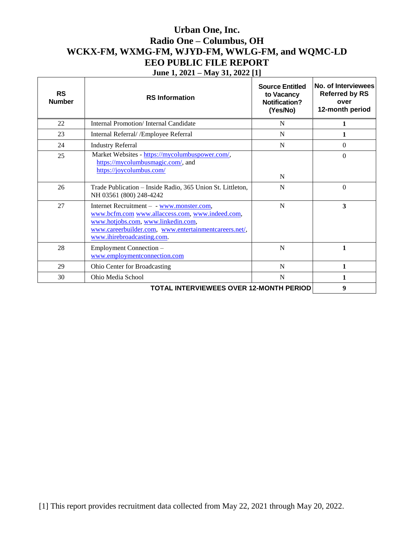| <b>RS</b><br><b>Number</b>                     | <b>RS</b> Information                                                                                                                                                                                                     | <b>Source Entitled</b><br>to Vacancy<br>Notification?<br>(Yes/No) | No. of Interviewees<br><b>Referred by RS</b><br>over<br>12-month period |
|------------------------------------------------|---------------------------------------------------------------------------------------------------------------------------------------------------------------------------------------------------------------------------|-------------------------------------------------------------------|-------------------------------------------------------------------------|
| 22                                             | Internal Promotion/Internal Candidate                                                                                                                                                                                     | N                                                                 | 1                                                                       |
| 23                                             | Internal Referral/ / Employee Referral                                                                                                                                                                                    | N                                                                 | 1                                                                       |
| 24                                             | <b>Industry Referral</b>                                                                                                                                                                                                  | N                                                                 | $\Omega$                                                                |
| 25                                             | Market Websites - https://mycolumbuspower.com/,<br>https://mycolumbusmagic.com/, and<br>https://joycolumbus.com/                                                                                                          | N                                                                 | $\theta$                                                                |
| 26                                             | Trade Publication - Inside Radio, 365 Union St. Littleton,<br>NH 03561 (800) 248-4242                                                                                                                                     | N                                                                 | $\theta$                                                                |
| 27                                             | Internet Recruitment - - www.monster.com,<br>www.bcfm.com www.allaccess.com, www.indeed.com,<br>www.hotjobs.com, www.linkedin.com,<br>www.careerbuilder.com, www.entertainmentcareers.net/,<br>www.ihirebroadcasting.com. | N                                                                 | $\overline{\mathbf{3}}$                                                 |
| 28                                             | Employment Connection -<br>www.employmentconnection.com                                                                                                                                                                   | N                                                                 | 1                                                                       |
| 29                                             | Ohio Center for Broadcasting                                                                                                                                                                                              | N                                                                 | 1                                                                       |
| 30                                             | Ohio Media School                                                                                                                                                                                                         | N                                                                 | $\mathbf{1}$                                                            |
| <b>TOTAL INTERVIEWEES OVER 12-MONTH PERIOD</b> |                                                                                                                                                                                                                           |                                                                   | 9                                                                       |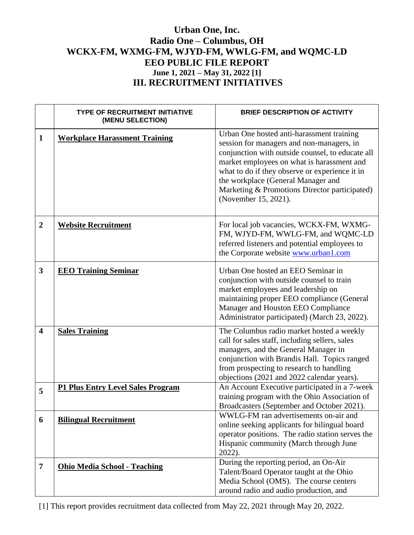|                         | <b>TYPE OF RECRUITMENT INITIATIVE</b><br>(MENU SELECTION) | <b>BRIEF DESCRIPTION OF ACTIVITY</b>                                                                                                                                                                                                                                                                                                                      |
|-------------------------|-----------------------------------------------------------|-----------------------------------------------------------------------------------------------------------------------------------------------------------------------------------------------------------------------------------------------------------------------------------------------------------------------------------------------------------|
| $\mathbf{1}$            | <b>Workplace Harassment Training</b>                      | Urban One hosted anti-harassment training<br>session for managers and non-managers, in<br>conjunction with outside counsel, to educate all<br>market employees on what is harassment and<br>what to do if they observe or experience it in<br>the workplace (General Manager and<br>Marketing & Promotions Director participated)<br>(November 15, 2021). |
| $\overline{2}$          | <b>Website Recruitment</b>                                | For local job vacancies, WCKX-FM, WXMG-<br>FM, WJYD-FM, WWLG-FM, and WQMC-LD<br>referred listeners and potential employees to<br>the Corporate website www.urban1.com                                                                                                                                                                                     |
| $\overline{\mathbf{3}}$ | <b>EEO Training Seminar</b>                               | Urban One hosted an EEO Seminar in<br>conjunction with outside counsel to train<br>market employees and leadership on<br>maintaining proper EEO compliance (General<br>Manager and Houston EEO Compliance<br>Administrator participated) (March 23, 2022).                                                                                                |
| $\overline{\mathbf{4}}$ | <b>Sales Training</b>                                     | The Columbus radio market hosted a weekly<br>call for sales staff, including sellers, sales<br>managers, and the General Manager in<br>conjunction with Brandis Hall. Topics ranged<br>from prospecting to research to handling<br>objections (2021 and 2022 calendar years).                                                                             |
| 5                       | <b>P1 Plus Entry Level Sales Program</b>                  | An Account Executive participated in a 7-week<br>training program with the Ohio Association of<br>Broadcasters (September and October 2021).                                                                                                                                                                                                              |
| 6                       | <b>Bilingual Recruitment</b>                              | WWLG-FM ran advertisements on-air and<br>online seeking applicants for bilingual board<br>operator positions. The radio station serves the<br>Hispanic community (March through June<br>$2022$ ).                                                                                                                                                         |
| 7                       | <b>Ohio Media School - Teaching</b>                       | During the reporting period, an On-Air<br>Talent/Board Operator taught at the Ohio<br>Media School (OMS). The course centers<br>around radio and audio production, and                                                                                                                                                                                    |

[1] This report provides recruitment data collected from May 22, 2021 through May 20, 2022.